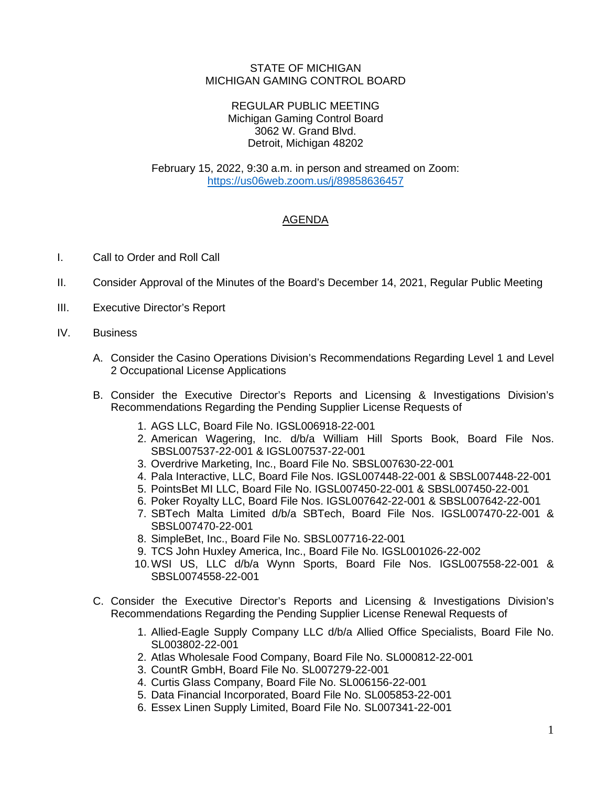## STATE OF MICHIGAN MICHIGAN GAMING CONTROL BOARD

## REGULAR PUBLIC MEETING Michigan Gaming Control Board 3062 W. Grand Blvd. Detroit, Michigan 48202

February 15, 2022, 9:30 a.m. in person and streamed on Zoom: [https://us06web.zoom.us/j/89858636457](https://gcc02.safelinks.protection.outlook.com/?url=https%3A%2F%2Fus06web.zoom.us%2Fj%2F89858636457&data=04%7C01%7CBeanM1%40michigan.gov%7Cd9003abfb00c4787c3fa08d9ebe8dd5e%7Cd5fb7087377742ad966a892ef47225d1%7C0%7C0%7C637800207637932942%7CUnknown%7CTWFpbGZsb3d8eyJWIjoiMC4wLjAwMDAiLCJQIjoiV2luMzIiLCJBTiI6Ik1haWwiLCJXVCI6Mn0%3D%7C3000&sdata=UcgcszTPLpshTK8X%2BIwCyMnmnv9SCUz9OYlOjUOn8DI%3D&reserved=0)

## AGENDA

- I. Call to Order and Roll Call
- II. Consider Approval of the Minutes of the Board's December 14, 2021, Regular Public Meeting
- III. Executive Director's Report
- IV. Business
	- A. Consider the Casino Operations Division's Recommendations Regarding Level 1 and Level 2 Occupational License Applications
	- B. Consider the Executive Director's Reports and Licensing & Investigations Division's Recommendations Regarding the Pending Supplier License Requests of
		- 1. AGS LLC, Board File No. IGSL006918-22-001
		- 2. American Wagering, Inc. d/b/a William Hill Sports Book, Board File Nos. SBSL007537-22-001 & IGSL007537-22-001
		- 3. Overdrive Marketing, Inc., Board File No. SBSL007630-22-001
		- 4. Pala Interactive, LLC, Board File Nos. IGSL007448-22-001 & SBSL007448-22-001
		- 5. PointsBet MI LLC, Board File No. IGSL007450-22-001 & SBSL007450-22-001
		- 6. Poker Royalty LLC, Board File Nos. IGSL007642-22-001 & SBSL007642-22-001
		- 7. SBTech Malta Limited d/b/a SBTech, Board File Nos. IGSL007470-22-001 & SBSL007470-22-001
		- 8. SimpleBet, Inc., Board File No. SBSL007716-22-001
		- 9. TCS John Huxley America, Inc., Board File No. IGSL001026-22-002
		- 10.WSI US, LLC d/b/a Wynn Sports, Board File Nos. IGSL007558-22-001 & SBSL0074558-22-001
	- C. Consider the Executive Director's Reports and Licensing & Investigations Division's Recommendations Regarding the Pending Supplier License Renewal Requests of
		- 1. Allied-Eagle Supply Company LLC d/b/a Allied Office Specialists, Board File No. SL003802-22-001
		- 2. Atlas Wholesale Food Company, Board File No. SL000812-22-001
		- 3. CountR GmbH, Board File No. SL007279-22-001
		- 4. Curtis Glass Company, Board File No. SL006156-22-001
		- 5. Data Financial Incorporated, Board File No. SL005853-22-001
		- 6. Essex Linen Supply Limited, Board File No. SL007341-22-001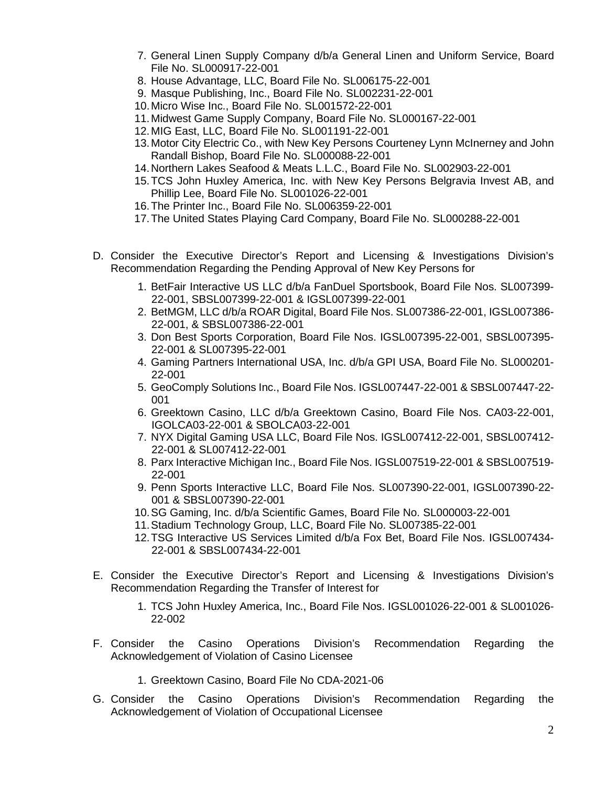- 7. General Linen Supply Company d/b/a General Linen and Uniform Service, Board File No. SL000917-22-001
- 8. House Advantage, LLC, Board File No. SL006175-22-001
- 9. Masque Publishing, Inc., Board File No. SL002231-22-001
- 10.Micro Wise Inc., Board File No. SL001572-22-001
- 11.Midwest Game Supply Company, Board File No. SL000167-22-001
- 12.MIG East, LLC, Board File No. SL001191-22-001
- 13.Motor City Electric Co., with New Key Persons Courteney Lynn McInerney and John Randall Bishop, Board File No. SL000088-22-001
- 14.Northern Lakes Seafood & Meats L.L.C., Board File No. SL002903-22-001
- 15.TCS John Huxley America, Inc. with New Key Persons Belgravia Invest AB, and Phillip Lee, Board File No. SL001026-22-001
- 16.The Printer Inc., Board File No. SL006359-22-001
- 17.The United States Playing Card Company, Board File No. SL000288-22-001
- D. Consider the Executive Director's Report and Licensing & Investigations Division's Recommendation Regarding the Pending Approval of New Key Persons for
	- 1. BetFair Interactive US LLC d/b/a FanDuel Sportsbook, Board File Nos. SL007399- 22-001, SBSL007399-22-001 & IGSL007399-22-001
	- 2. BetMGM, LLC d/b/a ROAR Digital, Board File Nos. SL007386-22-001, IGSL007386- 22-001, & SBSL007386-22-001
	- 3. Don Best Sports Corporation, Board File Nos. IGSL007395-22-001, SBSL007395- 22-001 & SL007395-22-001
	- 4. Gaming Partners International USA, Inc. d/b/a GPI USA, Board File No. SL000201- 22-001
	- 5. GeoComply Solutions Inc., Board File Nos. IGSL007447-22-001 & SBSL007447-22- 001
	- 6. Greektown Casino, LLC d/b/a Greektown Casino, Board File Nos. CA03-22-001, IGOLCA03-22-001 & SBOLCA03-22-001
	- 7. NYX Digital Gaming USA LLC, Board File Nos. IGSL007412-22-001, SBSL007412- 22-001 & SL007412-22-001
	- 8. Parx Interactive Michigan Inc., Board File Nos. IGSL007519-22-001 & SBSL007519- 22-001
	- 9. Penn Sports Interactive LLC, Board File Nos. SL007390-22-001, IGSL007390-22- 001 & SBSL007390-22-001
	- 10.SG Gaming, Inc. d/b/a Scientific Games, Board File No. SL000003-22-001
	- 11.Stadium Technology Group, LLC, Board File No. SL007385-22-001
	- 12.TSG Interactive US Services Limited d/b/a Fox Bet, Board File Nos. IGSL007434- 22-001 & SBSL007434-22-001
- E. Consider the Executive Director's Report and Licensing & Investigations Division's Recommendation Regarding the Transfer of Interest for
	- 1. TCS John Huxley America, Inc., Board File Nos. IGSL001026-22-001 & SL001026- 22-002
- F. Consider the Casino Operations Division's Recommendation Regarding the Acknowledgement of Violation of Casino Licensee
	- 1. Greektown Casino, Board File No CDA-2021-06
- G. Consider the Casino Operations Division's Recommendation Regarding the Acknowledgement of Violation of Occupational Licensee